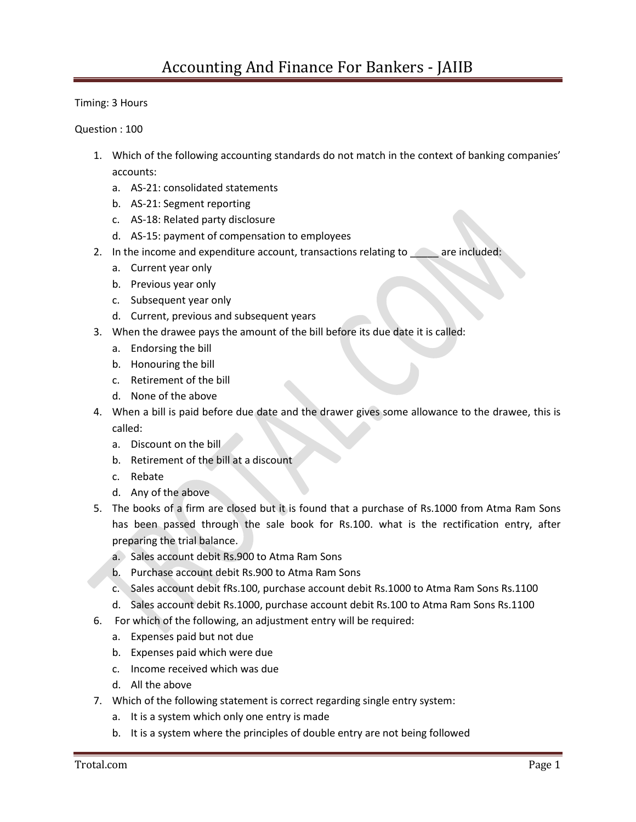Timing: 3 Hours

Question : 100

- 1. Which of the following accounting standards do not match in the context of banking companies' accounts:
	- a. AS-21: consolidated statements
	- b. AS-21: Segment reporting
	- c. AS-18: Related party disclosure
	- d. AS-15: payment of compensation to employees
- 2. In the income and expenditure account, transactions relating to are included:
	- a. Current year only
	- b. Previous year only
	- c. Subsequent year only
	- d. Current, previous and subsequent years
- 3. When the drawee pays the amount of the bill before its due date it is called:
	- a. Endorsing the bill
	- b. Honouring the bill
	- c. Retirement of the bill
	- d. None of the above
- 4. When a bill is paid before due date and the drawer gives some allowance to the drawee, this is called:
	- a. Discount on the bill
	- b. Retirement of the bill at a discount
	- c. Rebate
	- d. Any of the above
- 5. The books of a firm are closed but it is found that a purchase of Rs.1000 from Atma Ram Sons has been passed through the sale book for Rs.100. what is the rectification entry, after preparing the trial balance.
	- a. Sales account debit Rs.900 to Atma Ram Sons
	- b. Purchase account debit Rs.900 to Atma Ram Sons
	- c. Sales account debit fRs.100, purchase account debit Rs.1000 to Atma Ram Sons Rs.1100
	- d. Sales account debit Rs.1000, purchase account debit Rs.100 to Atma Ram Sons Rs.1100
- 6. For which of the following, an adjustment entry will be required:
	- a. Expenses paid but not due
	- b. Expenses paid which were due
	- c. Income received which was due
	- d. All the above
- 7. Which of the following statement is correct regarding single entry system:
	- a. It is a system which only one entry is made
	- b. It is a system where the principles of double entry are not being followed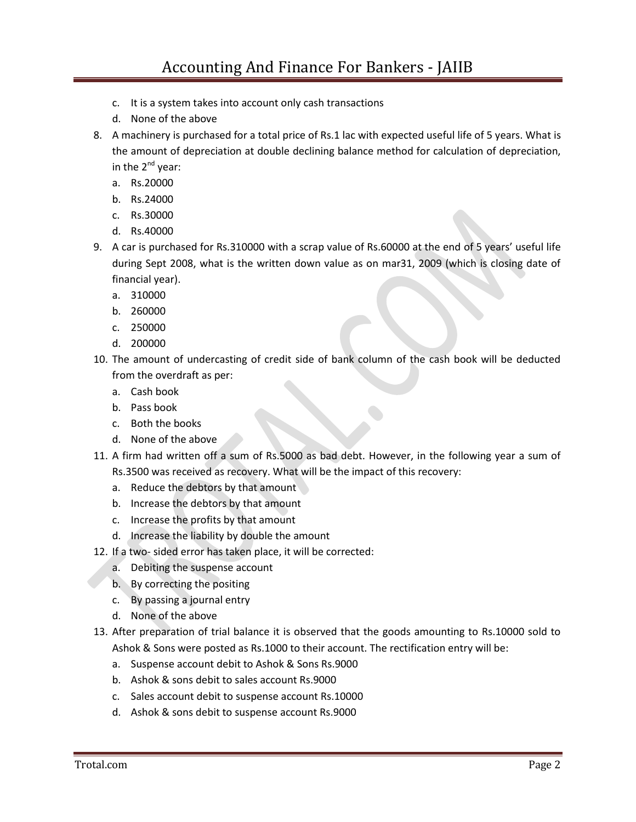- c. It is a system takes into account only cash transactions
- d. None of the above
- 8. A machinery is purchased for a total price of Rs.1 lac with expected useful life of 5 years. What is the amount of depreciation at double declining balance method for calculation of depreciation, in the  $2^{nd}$  year:
	- a. Rs.20000
	- b. Rs.24000
	- c. Rs.30000
	- d. Rs.40000
- 9. A car is purchased for Rs.310000 with a scrap value of Rs.60000 at the end of 5 years' useful life during Sept 2008, what is the written down value as on mar31, 2009 (which is closing date of financial year).
	- a. 310000
	- b. 260000
	- c. 250000
	- d. 200000
- 10. The amount of undercasting of credit side of bank column of the cash book will be deducted from the overdraft as per:
	- a. Cash book
	- b. Pass book
	- c. Both the books
	- d. None of the above
- 11. A firm had written off a sum of Rs.5000 as bad debt. However, in the following year a sum of Rs.3500 was received as recovery. What will be the impact of this recovery:
	- a. Reduce the debtors by that amount
	- b. Increase the debtors by that amount
	- c. Increase the profits by that amount
	- d. Increase the liability by double the amount
- 12. If a two- sided error has taken place, it will be corrected:
	- a. Debiting the suspense account
	- b. By correcting the positing
	- c. By passing a journal entry
	- d. None of the above
- 13. After preparation of trial balance it is observed that the goods amounting to Rs.10000 sold to Ashok & Sons were posted as Rs.1000 to their account. The rectification entry will be:
	- a. Suspense account debit to Ashok & Sons Rs.9000
	- b. Ashok & sons debit to sales account Rs.9000
	- c. Sales account debit to suspense account Rs.10000
	- d. Ashok & sons debit to suspense account Rs.9000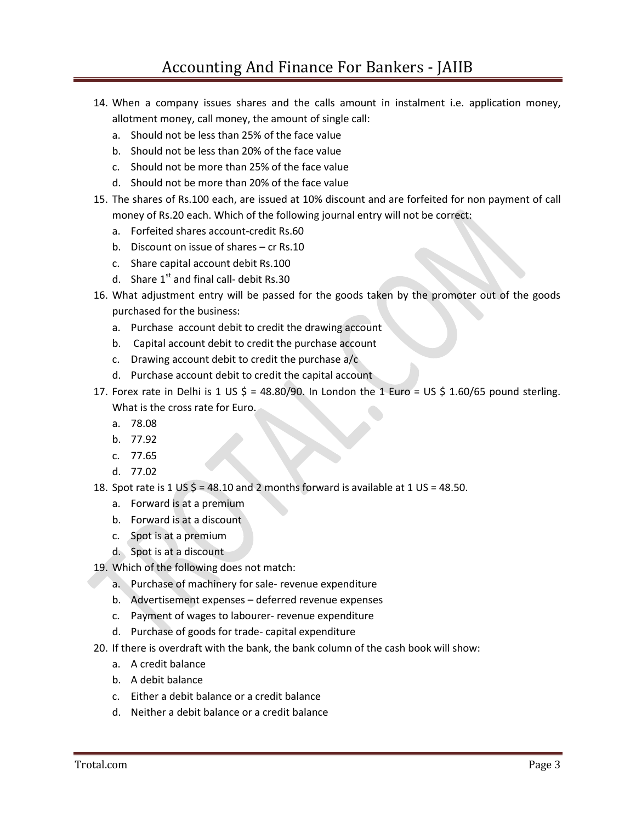## Accounting And Finance For Bankers - JAIIB

- 14. When a company issues shares and the calls amount in instalment i.e. application money, allotment money, call money, the amount of single call:
	- a. Should not be less than 25% of the face value
	- b. Should not be less than 20% of the face value
	- c. Should not be more than 25% of the face value
	- d. Should not be more than 20% of the face value
- 15. The shares of Rs.100 each, are issued at 10% discount and are forfeited for non payment of call money of Rs.20 each. Which of the following journal entry will not be correct:
	- a. Forfeited shares account-credit Rs.60
	- b. Discount on issue of shares cr Rs.10
	- c. Share capital account debit Rs.100
	- d. Share  $1^{st}$  and final call- debit Rs.30
- 16. What adjustment entry will be passed for the goods taken by the promoter out of the goods purchased for the business:
	- a. Purchase account debit to credit the drawing account
	- b. Capital account debit to credit the purchase account
	- c. Drawing account debit to credit the purchase a/c
	- d. Purchase account debit to credit the capital account
- 17. Forex rate in Delhi is 1 US  $\frac{2}{5}$  = 48.80/90. In London the 1 Euro = US  $\frac{2}{5}$  1.60/65 pound sterling. What is the cross rate for Euro.
	- a. 78.08
	- b. 77.92
	- c. 77.65
	- d. 77.02
- 18. Spot rate is 1 US  $\zeta$  = 48.10 and 2 months forward is available at 1 US = 48.50.
	- a. Forward is at a premium
	- b. Forward is at a discount
	- c. Spot is at a premium
	- d. Spot is at a discount
- 19. Which of the following does not match:
	- a. Purchase of machinery for sale- revenue expenditure
	- b. Advertisement expenses deferred revenue expenses
	- c. Payment of wages to labourer- revenue expenditure
	- d. Purchase of goods for trade- capital expenditure
- 20. If there is overdraft with the bank, the bank column of the cash book will show:
	- a. A credit balance
	- b. A debit balance
	- c. Either a debit balance or a credit balance
	- d. Neither a debit balance or a credit balance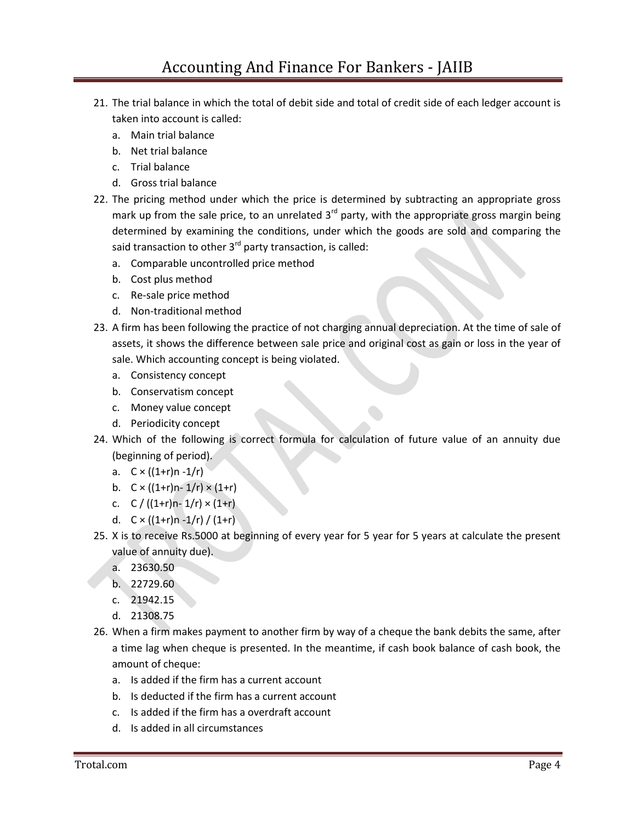- 21. The trial balance in which the total of debit side and total of credit side of each ledger account is taken into account is called:
	- a. Main trial balance
	- b. Net trial balance
	- c. Trial balance
	- d. Gross trial balance
- 22. The pricing method under which the price is determined by subtracting an appropriate gross mark up from the sale price, to an unrelated  $3<sup>rd</sup>$  party, with the appropriate gross margin being determined by examining the conditions, under which the goods are sold and comparing the said transaction to other  $3<sup>rd</sup>$  party transaction, is called:
	- a. Comparable uncontrolled price method
	- b. Cost plus method
	- c. Re-sale price method
	- d. Non-traditional method
- 23. A firm has been following the practice of not charging annual depreciation. At the time of sale of assets, it shows the difference between sale price and original cost as gain or loss in the year of sale. Which accounting concept is being violated.
	- a. Consistency concept
	- b. Conservatism concept
	- c. Money value concept
	- d. Periodicity concept
- 24. Which of the following is correct formula for calculation of future value of an annuity due (beginning of period).
	- a.  $C \times ((1+r)n 1/r)$
	- b.  $C \times ((1+r)n 1/r) \times (1+r)$
	- c.  $C / ((1+r)n 1/r) \times (1+r)$
	- d.  $C \times ((1+r)n 1/r) / (1+r)$
- 25. X is to receive Rs.5000 at beginning of every year for 5 year for 5 years at calculate the present value of annuity due).
	- a. 23630.50
	- b. 22729.60
	- c. 21942.15
	- d. 21308.75
- 26. When a firm makes payment to another firm by way of a cheque the bank debits the same, after a time lag when cheque is presented. In the meantime, if cash book balance of cash book, the amount of cheque:
	- a. Is added if the firm has a current account
	- b. Is deducted if the firm has a current account
	- c. Is added if the firm has a overdraft account
	- d. Is added in all circumstances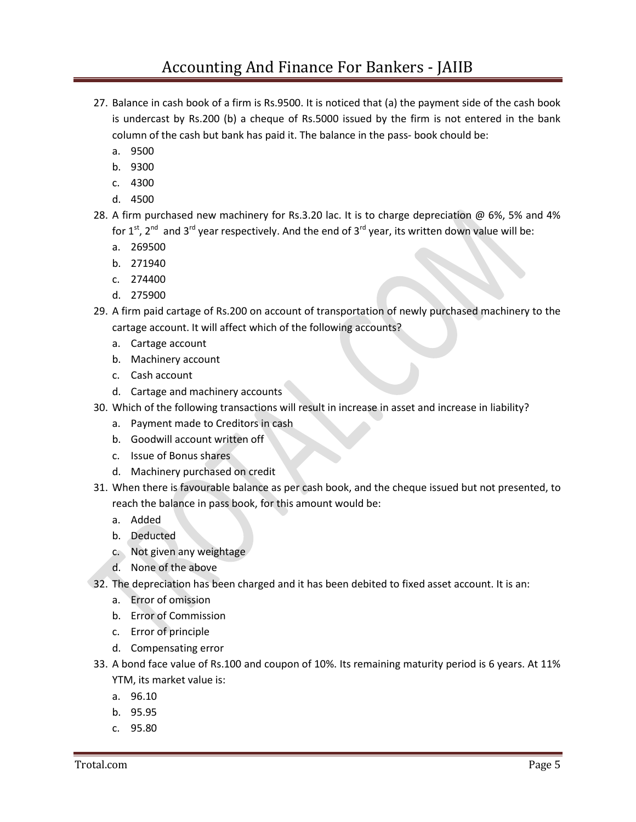- 27. Balance in cash book of a firm is Rs.9500. It is noticed that (a) the payment side of the cash book is undercast by Rs.200 (b) a cheque of Rs.5000 issued by the firm is not entered in the bank column of the cash but bank has paid it. The balance in the pass- book chould be:
	- a. 9500
	- b. 9300
	- c. 4300
	- d. 4500
- 28. A firm purchased new machinery for Rs.3.20 lac. It is to charge depreciation @ 6%, 5% and 4% for 1<sup>st</sup>, 2<sup>nd</sup> and 3<sup>rd</sup> year respectively. And the end of 3<sup>rd</sup> year, its written down value will be:
	- a. 269500
	- b. 271940
	- c. 274400
	- d. 275900
- 29. A firm paid cartage of Rs.200 on account of transportation of newly purchased machinery to the cartage account. It will affect which of the following accounts?
	- a. Cartage account
	- b. Machinery account
	- c. Cash account
	- d. Cartage and machinery accounts
- 30. Which of the following transactions will result in increase in asset and increase in liability?
	- a. Payment made to Creditors in cash
	- b. Goodwill account written off
	- c. Issue of Bonus shares
	- d. Machinery purchased on credit
- 31. When there is favourable balance as per cash book, and the cheque issued but not presented, to reach the balance in pass book, for this amount would be:
	- a. Added
	- b. Deducted
	- c. Not given any weightage
	- d. None of the above
- 32. The depreciation has been charged and it has been debited to fixed asset account. It is an:
	- a. Error of omission
	- b. Error of Commission
	- c. Error of principle
	- d. Compensating error
- 33. A bond face value of Rs.100 and coupon of 10%. Its remaining maturity period is 6 years. At 11% YTM, its market value is:
	- a. 96.10
	- b. 95.95
	- c. 95.80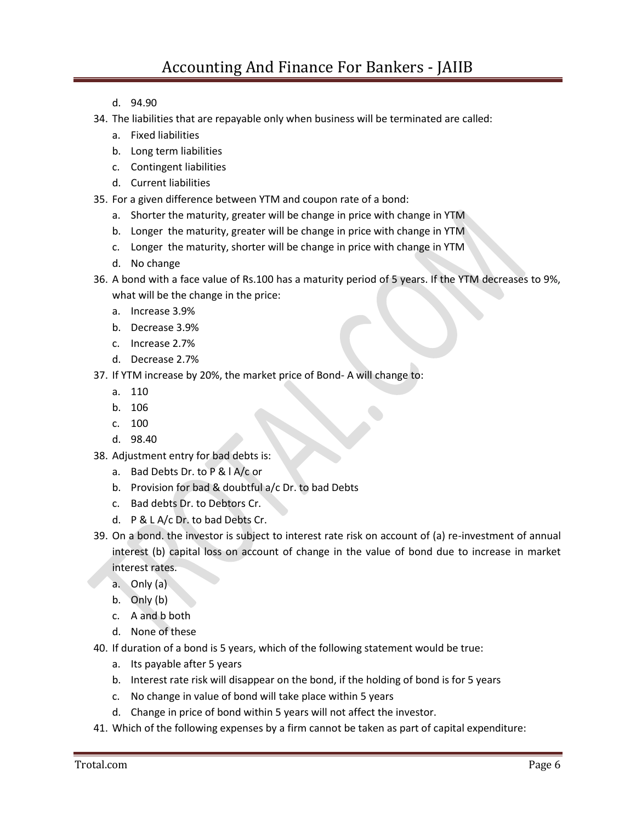- d. 94.90
- 34. The liabilities that are repayable only when business will be terminated are called:
	- a. Fixed liabilities
	- b. Long term liabilities
	- c. Contingent liabilities
	- d. Current liabilities
- 35. For a given difference between YTM and coupon rate of a bond:
	- a. Shorter the maturity, greater will be change in price with change in YTM
	- b. Longer the maturity, greater will be change in price with change in YTM
	- c. Longer the maturity, shorter will be change in price with change in YTM
	- d. No change
- 36. A bond with a face value of Rs.100 has a maturity period of 5 years. If the YTM decreases to 9%, what will be the change in the price:
	- a. Increase 3.9%
	- b. Decrease 3.9%
	- c. Increase 2.7%
	- d. Decrease 2.7%
- 37. If YTM increase by 20%, the market price of Bond- A will change to:
	- a. 110
	- b. 106
	- c. 100
	- d. 98.40
- 38. Adjustment entry for bad debts is:
	- a. Bad Debts Dr. to P & l A/c or
	- b. Provision for bad & doubtful a/c Dr. to bad Debts
	- c. Bad debts Dr. to Debtors Cr.
	- d. P & L A/c Dr. to bad Debts Cr.
- 39. On a bond. the investor is subject to interest rate risk on account of (a) re-investment of annual interest (b) capital loss on account of change in the value of bond due to increase in market interest rates.
	- a. Only (a)
	- b. Only (b)
	- c. A and b both
	- d. None of these
- 40. If duration of a bond is 5 years, which of the following statement would be true:
	- a. Its payable after 5 years
	- b. Interest rate risk will disappear on the bond, if the holding of bond is for 5 years
	- c. No change in value of bond will take place within 5 years
	- d. Change in price of bond within 5 years will not affect the investor.
- 41. Which of the following expenses by a firm cannot be taken as part of capital expenditure: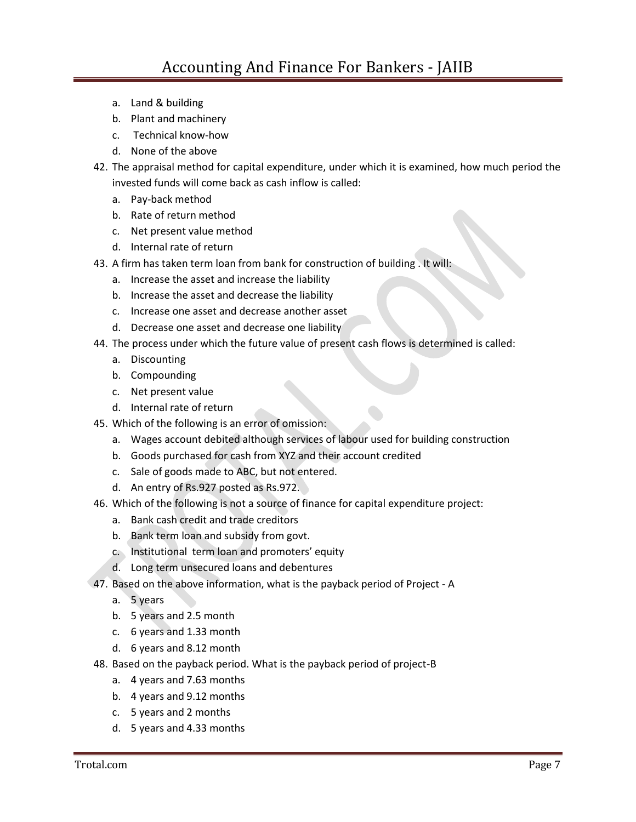- a. Land & building
- b. Plant and machinery
- c. Technical know-how
- d. None of the above
- 42. The appraisal method for capital expenditure, under which it is examined, how much period the invested funds will come back as cash inflow is called:
	- a. Pay-back method
	- b. Rate of return method
	- c. Net present value method
	- d. Internal rate of return
- 43. A firm has taken term loan from bank for construction of building . It will:
	- a. Increase the asset and increase the liability
	- b. Increase the asset and decrease the liability
	- c. Increase one asset and decrease another asset
	- d. Decrease one asset and decrease one liability
- 44. The process under which the future value of present cash flows is determined is called:
	- a. Discounting
	- b. Compounding
	- c. Net present value
	- d. Internal rate of return
- 45. Which of the following is an error of omission:
	- a. Wages account debited although services of labour used for building construction
	- b. Goods purchased for cash from XYZ and their account credited
	- c. Sale of goods made to ABC, but not entered.
	- d. An entry of Rs.927 posted as Rs.972.
- 46. Which of the following is not a source of finance for capital expenditure project:
	- a. Bank cash credit and trade creditors
	- b. Bank term loan and subsidy from govt.
	- c. Institutional term loan and promoters' equity
	- d. Long term unsecured loans and debentures
- 47. Based on the above information, what is the payback period of Project A
	- a. 5 years
	- b. 5 years and 2.5 month
	- c. 6 years and 1.33 month
	- d. 6 years and 8.12 month
- 48. Based on the payback period. What is the payback period of project-B
	- a. 4 years and 7.63 months
	- b. 4 years and 9.12 months
	- c. 5 years and 2 months
	- d. 5 years and 4.33 months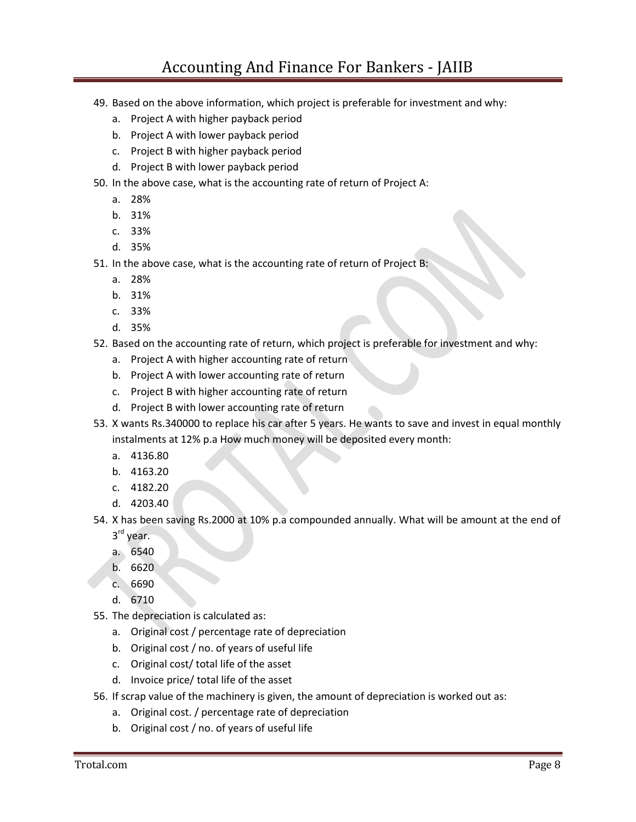## Accounting And Finance For Bankers - JAIIB

- 49. Based on the above information, which project is preferable for investment and why:
	- a. Project A with higher payback period
	- b. Project A with lower payback period
	- c. Project B with higher payback period
	- d. Project B with lower payback period
- 50. In the above case, what is the accounting rate of return of Project A:
	- a. 28%
	- b. 31%
	- c. 33%
	- d. 35%
- 51. In the above case, what is the accounting rate of return of Project B:
	- a. 28%
	- b. 31%
	- c. 33%
	- d. 35%
- 52. Based on the accounting rate of return, which project is preferable for investment and why:
	- a. Project A with higher accounting rate of return
	- b. Project A with lower accounting rate of return
	- c. Project B with higher accounting rate of return
	- d. Project B with lower accounting rate of return
- 53. X wants Rs.340000 to replace his car after 5 years. He wants to save and invest in equal monthly instalments at 12% p.a How much money will be deposited every month:
	- a. 4136.80
	- b. 4163.20
	- c. 4182.20
	- d. 4203.40
- 54. X has been saving Rs.2000 at 10% p.a compounded annually. What will be amount at the end of 3<sup>rd</sup> year.
	- a. 6540
	- b. 6620
	- c. 6690
	- d. 6710
- 55. The depreciation is calculated as:
	- a. Original cost / percentage rate of depreciation
	- b. Original cost / no. of years of useful life
	- c. Original cost/ total life of the asset
	- d. Invoice price/ total life of the asset
- 56. If scrap value of the machinery is given, the amount of depreciation is worked out as:
	- a. Original cost. / percentage rate of depreciation
	- b. Original cost / no. of years of useful life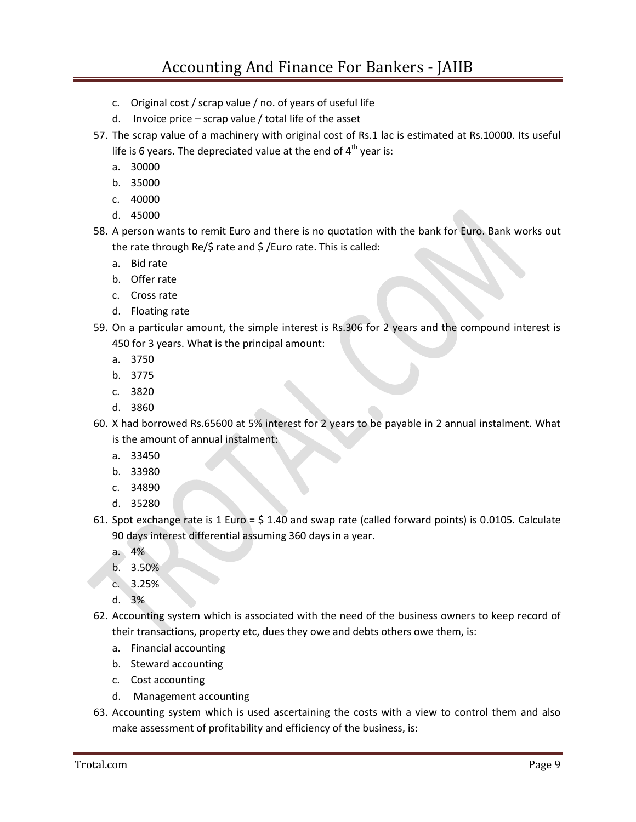## Accounting And Finance For Bankers - JAIIB

- c. Original cost / scrap value / no. of years of useful life
- d. Invoice price scrap value / total life of the asset
- 57. The scrap value of a machinery with original cost of Rs.1 lac is estimated at Rs.10000. Its useful life is 6 years. The depreciated value at the end of  $4<sup>th</sup>$  year is:
	- a. 30000
	- b. 35000
	- c. 40000
	- d. 45000
- 58. A person wants to remit Euro and there is no quotation with the bank for Euro. Bank works out the rate through Re/\$ rate and \$ /Euro rate. This is called:
	- a. Bid rate
	- b. Offer rate
	- c. Cross rate
	- d. Floating rate
- 59. On a particular amount, the simple interest is Rs.306 for 2 years and the compound interest is 450 for 3 years. What is the principal amount:
	- a. 3750
	- b. 3775
	- c. 3820
	- d. 3860
- 60. X had borrowed Rs.65600 at 5% interest for 2 years to be payable in 2 annual instalment. What is the amount of annual instalment:
	- a. 33450
	- b. 33980
	- c. 34890
	- d. 35280
- 61. Spot exchange rate is 1 Euro = \$ 1.40 and swap rate (called forward points) is 0.0105. Calculate 90 days interest differential assuming 360 days in a year.
	- a. 4%
	- b. 3.50%
	- c. 3.25%
	- d. 3%
- 62. Accounting system which is associated with the need of the business owners to keep record of their transactions, property etc, dues they owe and debts others owe them, is:
	- a. Financial accounting
	- b. Steward accounting
	- c. Cost accounting
	- d. Management accounting
- 63. Accounting system which is used ascertaining the costs with a view to control them and also make assessment of profitability and efficiency of the business, is: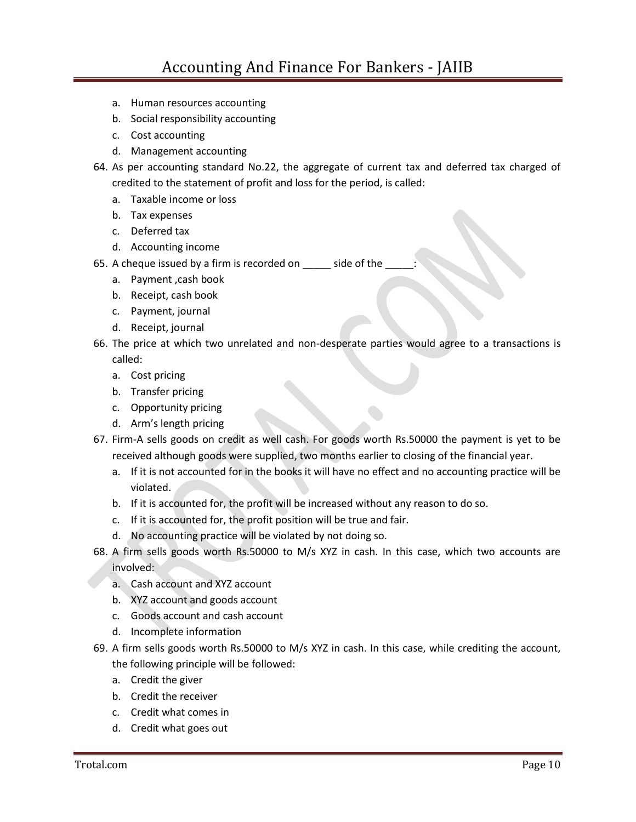- a. Human resources accounting
- b. Social responsibility accounting
- c. Cost accounting
- d. Management accounting
- 64. As per accounting standard No.22, the aggregate of current tax and deferred tax charged of credited to the statement of profit and loss for the period, is called:
	- a. Taxable income or loss
	- b. Tax expenses
	- c. Deferred tax
	- d. Accounting income
- 65. A cheque issued by a firm is recorded on \_\_\_\_\_\_ side of the
	- a. Payment ,cash book
	- b. Receipt, cash book
	- c. Payment, journal
	- d. Receipt, journal
- 66. The price at which two unrelated and non-desperate parties would agree to a transactions is called:
	- a. Cost pricing
	- b. Transfer pricing
	- c. Opportunity pricing
	- d. Arm's length pricing
- 67. Firm-A sells goods on credit as well cash. For goods worth Rs.50000 the payment is yet to be received although goods were supplied, two months earlier to closing of the financial year.
	- a. If it is not accounted for in the books it will have no effect and no accounting practice will be violated.
	- b. If it is accounted for, the profit will be increased without any reason to do so.
	- c. If it is accounted for, the profit position will be true and fair.
	- d. No accounting practice will be violated by not doing so.
- 68. A firm sells goods worth Rs.50000 to M/s XYZ in cash. In this case, which two accounts are involved:
	- a. Cash account and XYZ account
	- b. XYZ account and goods account
	- c. Goods account and cash account
	- d. Incomplete information
- 69. A firm sells goods worth Rs.50000 to M/s XYZ in cash. In this case, while crediting the account, the following principle will be followed:
	- a. Credit the giver
	- b. Credit the receiver
	- c. Credit what comes in
	- d. Credit what goes out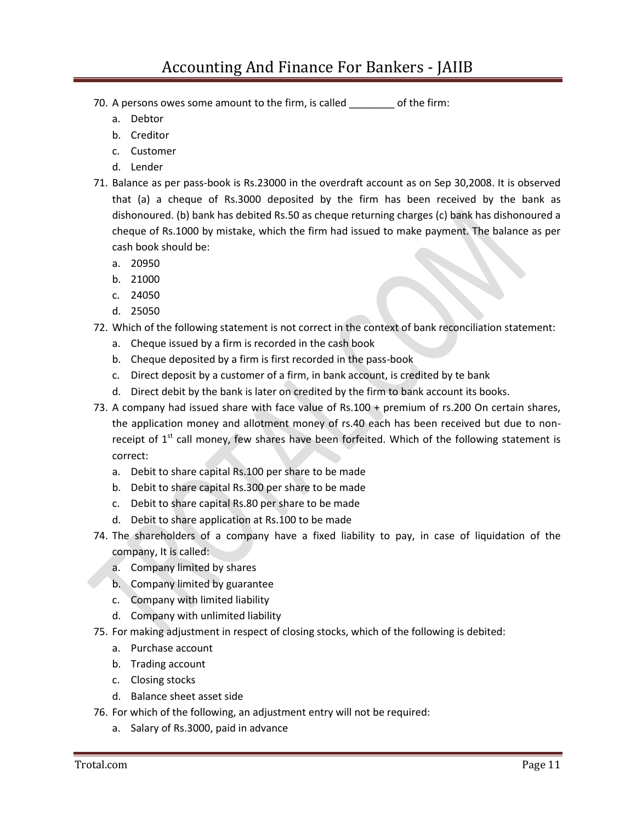- 70. A persons owes some amount to the firm, is called \_\_\_\_\_\_\_\_ of the firm:
	- a. Debtor
	- b. Creditor
	- c. Customer
	- d. Lender
- 71. Balance as per pass-book is Rs.23000 in the overdraft account as on Sep 30,2008. It is observed that (a) a cheque of Rs.3000 deposited by the firm has been received by the bank as dishonoured. (b) bank has debited Rs.50 as cheque returning charges (c) bank has dishonoured a cheque of Rs.1000 by mistake, which the firm had issued to make payment. The balance as per cash book should be:
	- a. 20950
	- b. 21000
	- c. 24050
	- d. 25050
- 72. Which of the following statement is not correct in the context of bank reconciliation statement:
	- a. Cheque issued by a firm is recorded in the cash book
	- b. Cheque deposited by a firm is first recorded in the pass-book
	- c. Direct deposit by a customer of a firm, in bank account, is credited by te bank
	- d. Direct debit by the bank is later on credited by the firm to bank account its books.
- 73. A company had issued share with face value of Rs.100 + premium of rs.200 On certain shares, the application money and allotment money of rs.40 each has been received but due to nonreceipt of  $1<sup>st</sup>$  call money, few shares have been forfeited. Which of the following statement is correct:
	- a. Debit to share capital Rs.100 per share to be made
	- b. Debit to share capital Rs.300 per share to be made
	- c. Debit to share capital Rs.80 per share to be made
	- d. Debit to share application at Rs.100 to be made
- 74. The shareholders of a company have a fixed liability to pay, in case of liquidation of the company, It is called:
	- a. Company limited by shares
	- b. Company limited by guarantee
	- c. Company with limited liability
	- d. Company with unlimited liability
- 75. For making adjustment in respect of closing stocks, which of the following is debited:
	- a. Purchase account
	- b. Trading account
	- c. Closing stocks
	- d. Balance sheet asset side
- 76. For which of the following, an adjustment entry will not be required:
	- a. Salary of Rs.3000, paid in advance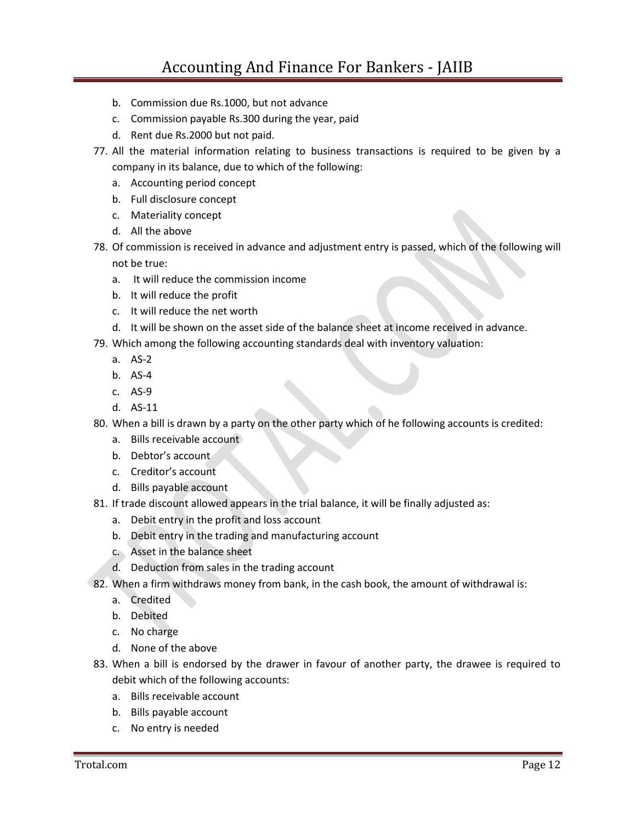- b. Commission due Rs.1000, but not advance
- c. Commission payable Rs.300 during the year, paid
- d. Rent due Rs.2000 but not paid.
- 77. All the material information relating to business transactions is required to be given by a company in its balance, due to which of the following:
	- a. Accounting period concept
	- b. Full disclosure concept
	- c. Materiality concept
	- d. All the above
- 78. Of commission is received in advance and adjustment entry is passed, which of the following will not be true:
	- a. It will reduce the commission income
	- b. It will reduce the profit
	- c. It will reduce the net worth
	- d. It will be shown on the asset side of the balance sheet at income received in advance.
- 79. Which among the following accounting standards deal with inventory valuation:
	- a. AS-2
	- b. AS-4
	- c. AS-9
	- d. AS-11

80. When a bill is drawn by a party on the other party which of he following accounts is credited:

- a. Bills receivable account
- b. Debtor's account
- c. Creditor's account
- d. Bills payable account
- 81. If trade discount allowed appears in the trial balance, it will be finally adjusted as:
	- a. Debit entry in the profit and loss account
	- b. Debit entry in the trading and manufacturing account
	- c. Asset in the balance sheet
	- d. Deduction from sales in the trading account
- 82. When a firm withdraws money from bank, in the cash book, the amount of withdrawal is:
	- a. Credited
	- b. Debited
	- c. No charge
	- d. None of the above
- 83. When a bill is endorsed by the drawer in favour of another party, the drawee is required to debit which of the following accounts:
	- a. Bills receivable account
	- b. Bills payable account
	- c. No entry is needed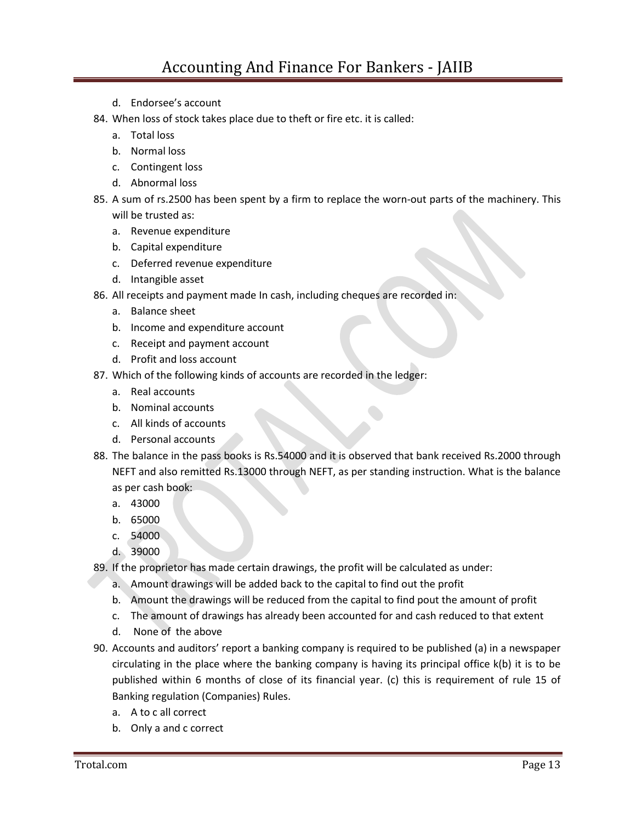- d. Endorsee's account
- 84. When loss of stock takes place due to theft or fire etc. it is called:
	- a. Total loss
	- b. Normal loss
	- c. Contingent loss
	- d. Abnormal loss
- 85. A sum of rs.2500 has been spent by a firm to replace the worn-out parts of the machinery. This will be trusted as:
	- a. Revenue expenditure
	- b. Capital expenditure
	- c. Deferred revenue expenditure
	- d. Intangible asset
- 86. All receipts and payment made In cash, including cheques are recorded in:
	- a. Balance sheet
	- b. Income and expenditure account
	- c. Receipt and payment account
	- d. Profit and loss account
- 87. Which of the following kinds of accounts are recorded in the ledger:
	- a. Real accounts
	- b. Nominal accounts
	- c. All kinds of accounts
	- d. Personal accounts
- 88. The balance in the pass books is Rs.54000 and it is observed that bank received Rs.2000 through NEFT and also remitted Rs.13000 through NEFT, as per standing instruction. What is the balance as per cash book:
	- a. 43000
	- b. 65000
	- c. 54000
	- d. 39000
- 89. If the proprietor has made certain drawings, the profit will be calculated as under:
	- a. Amount drawings will be added back to the capital to find out the profit
	- b. Amount the drawings will be reduced from the capital to find pout the amount of profit
	- c. The amount of drawings has already been accounted for and cash reduced to that extent
	- d. None of the above
- 90. Accounts and auditors' report a banking company is required to be published (a) in a newspaper circulating in the place where the banking company is having its principal office k(b) it is to be published within 6 months of close of its financial year. (c) this is requirement of rule 15 of Banking regulation (Companies) Rules.
	- a. A to c all correct
	- b. Only a and c correct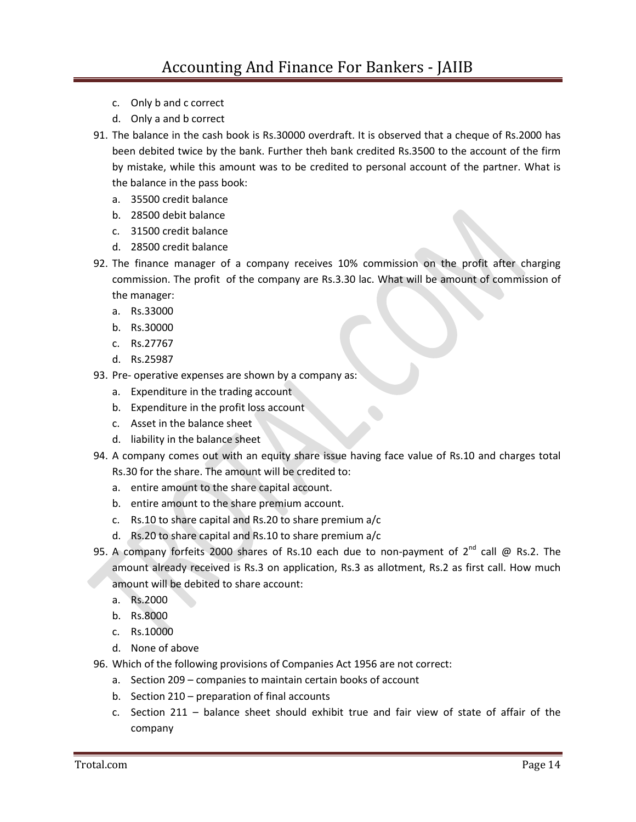- c. Only b and c correct
- d. Only a and b correct
- 91. The balance in the cash book is Rs.30000 overdraft. It is observed that a cheque of Rs.2000 has been debited twice by the bank. Further theh bank credited Rs.3500 to the account of the firm by mistake, while this amount was to be credited to personal account of the partner. What is the balance in the pass book:
	- a. 35500 credit balance
	- b. 28500 debit balance
	- c. 31500 credit balance
	- d. 28500 credit balance
- 92. The finance manager of a company receives 10% commission on the profit after charging commission. The profit of the company are Rs.3.30 lac. What will be amount of commission of the manager:
	- a. Rs.33000
	- b. Rs.30000
	- c. Rs.27767
	- d. Rs.25987
- 93. Pre- operative expenses are shown by a company as:
	- a. Expenditure in the trading account
	- b. Expenditure in the profit loss account
	- c. Asset in the balance sheet
	- d. liability in the balance sheet
- 94. A company comes out with an equity share issue having face value of Rs.10 and charges total Rs.30 for the share. The amount will be credited to:
	- a. entire amount to the share capital account.
	- b. entire amount to the share premium account.
	- c. Rs.10 to share capital and Rs.20 to share premium a/c
	- d. Rs.20 to share capital and Rs.10 to share premium a/c
- 95. A company forfeits 2000 shares of Rs.10 each due to non-payment of  $2^{nd}$  call @ Rs.2. The amount already received is Rs.3 on application, Rs.3 as allotment, Rs.2 as first call. How much amount will be debited to share account:
	- a. Rs.2000
	- b. Rs.8000
	- c. Rs.10000
	- d. None of above
- 96. Which of the following provisions of Companies Act 1956 are not correct:
	- a. Section 209 companies to maintain certain books of account
	- b. Section 210 preparation of final accounts
	- c. Section 211 balance sheet should exhibit true and fair view of state of affair of the company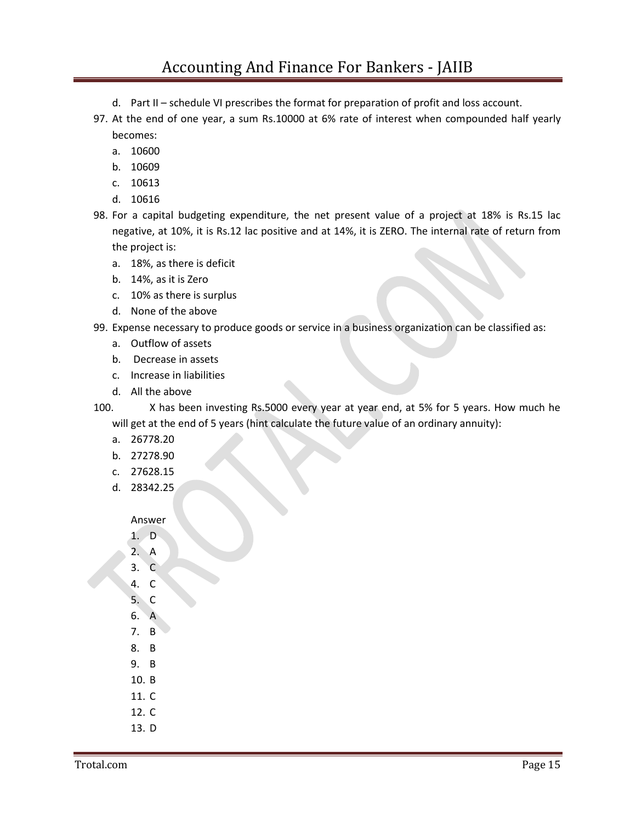- d. Part II schedule VI prescribes the format for preparation of profit and loss account.
- 97. At the end of one year, a sum Rs.10000 at 6% rate of interest when compounded half yearly becomes:
	- a. 10600
	- b. 10609
	- c. 10613
	- d. 10616
- 98. For a capital budgeting expenditure, the net present value of a project at 18% is Rs.15 lac negative, at 10%, it is Rs.12 lac positive and at 14%, it is ZERO. The internal rate of return from the project is:
	- a. 18%, as there is deficit
	- b. 14%, as it is Zero
	- c. 10% as there is surplus
	- d. None of the above
- 99. Expense necessary to produce goods or service in a business organization can be classified as:
	- a. Outflow of assets
	- b. Decrease in assets
	- c. Increase in liabilities
	- d. All the above
- 100. X has been investing Rs.5000 every year at year end, at 5% for 5 years. How much he will get at the end of 5 years (hint calculate the future value of an ordinary annuity):
	- a. 26778.20
	- b. 27278.90
	- c. 27628.15
	- d. 28342.25

Answer

- 1. D
- 2. A
- 3. C
- 4. C
- 5. C
- 6. A
- 7. B
- 8. B
- 9. B
- 10. B
- 11. C
- 12. C
- 13. D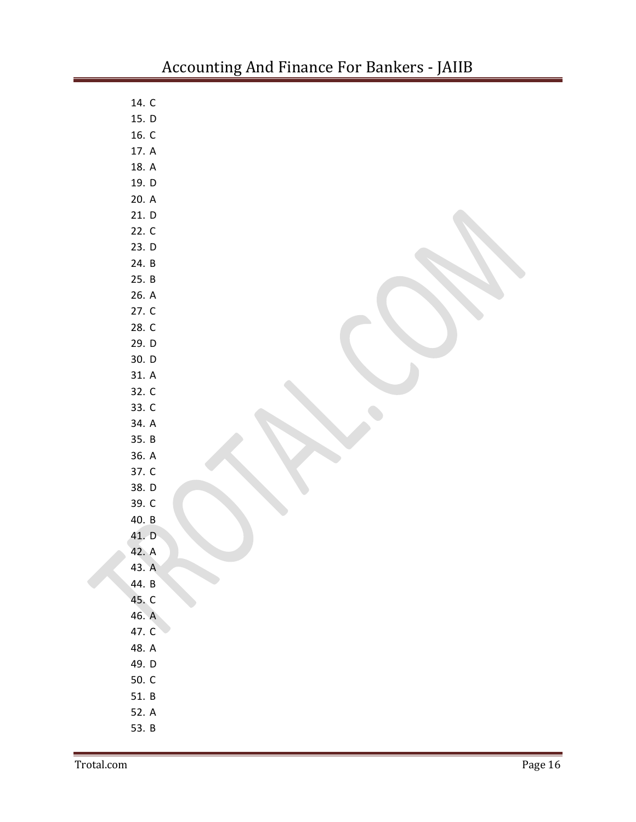| 14. C |  |
|-------|--|
| 15. D |  |
| 16. C |  |
| 17. A |  |
| 18. A |  |
| 19. D |  |
| 20. A |  |
| 21. D |  |
| 22. C |  |
| 23. D |  |
| 24. B |  |
| 25. B |  |
| 26. A |  |
| 27. C |  |
| 28. C |  |
| 29. D |  |
| 30. D |  |
| 31. A |  |
| 32. C |  |
| 33. C |  |
| 34. A |  |
| 35. B |  |
| 36. A |  |
| 37. C |  |
| 38. D |  |
| 39. C |  |
| 40. B |  |
| 41. D |  |
| 42. A |  |
| 43. A |  |
| 44. B |  |
| 45. C |  |
| 46. A |  |
| 47. C |  |
| 48. A |  |
| 49. D |  |
| 50. C |  |
| 51. B |  |
| 52. A |  |
| 53. B |  |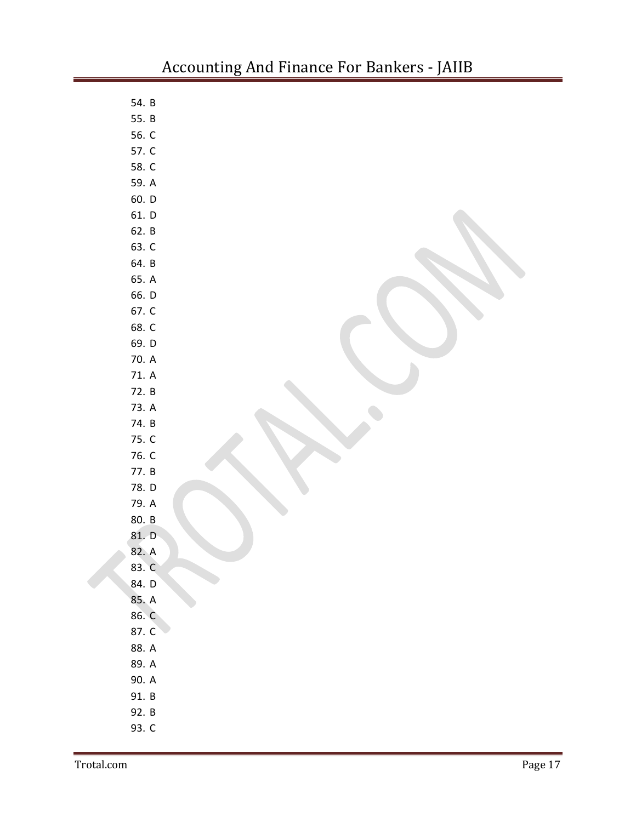